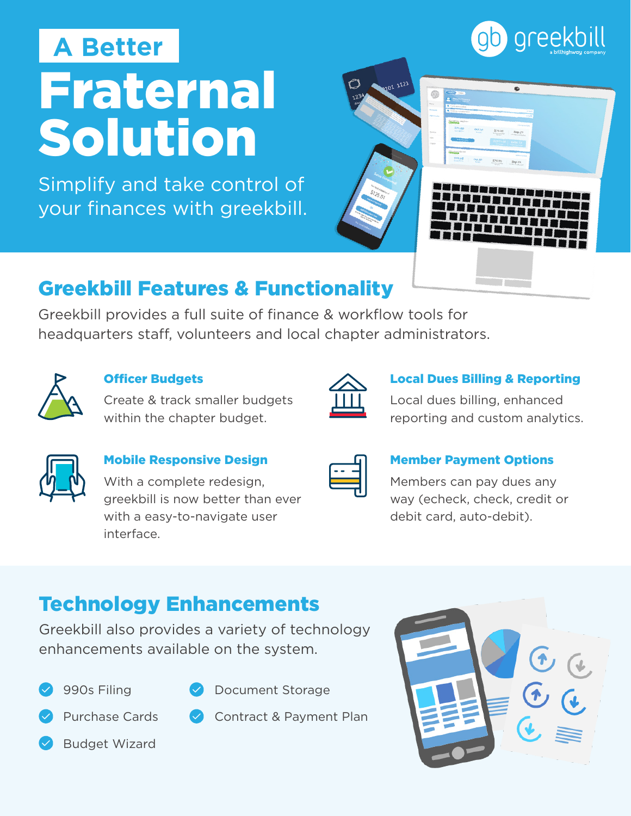# Fraternal Solution **A Better**

Simplify and take control of your finances with greekbill.



### Greekbill Features & Functionality

Greekbill provides a full suite of finance & workflow tools for headquarters staff, volunteers and local chapter administrators.



#### Officer Budgets

Create & track smaller budgets within the chapter budget.

#### Local Dues Billing & Reporting

Local dues billing, enhanced reporting and custom analytics.

#### Mobile Responsive Design

With a complete redesign, greekbill is now better than ever with a easy-to-navigate user interface.

#### Member Payment Options

Members can pay dues any way (echeck, check, credit or debit card, auto-debit).

## Technology Enhancements

Greekbill also provides a variety of technology enhancements available on the system.





- Document Storage
- Purchase Cards
- 
- Contract & Payment Plan